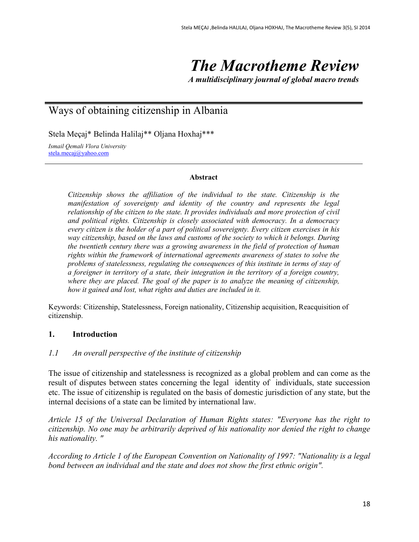# *The Macrotheme Review*

*A multidisciplinary journal of global macro trends*

# Ways of obtaining citizenship in Albania

Stela Meçaj\* Belinda Halilaj\*\* Oljana Hoxhaj\*\*\*

*Ismail Qemali Vlora University* [stela.mecaj@yahoo.com](mailto:stela.mecaj@yahoo.com)

#### **Abstract**

*Citizenship shows the affiliation of the individual to the state. Citizenship is the manifestation of sovereignty and identity of the country and represents the legal relationship of the citizen to the state. It provides individuals and more protection of civil and political rights. Citizenship is closely associated with democracy. In a democracy every citizen is the holder of a part of political sovereignty. Every citizen exercises in his way citizenship, based on the laws and customs of the society to which it belongs. During the twentieth century there was a growing awareness in the field of protection of human rights within the framework of international agreements awareness of states to solve the problems of statelessness, regulating the consequences of this institute in terms of stay of a foreigner in territory of a state, their integration in the territory of a foreign country, where they are placed. The goal of the paper is to analyze the meaning of citizenship, how it gained and lost, what rights and duties are included in it.*

Keywords: Citizenship, Statelessness, Foreign nationality, Citizenship acquisition, Reacquisition of citizenship.

#### **1. Introduction**

#### *1.1 An overall perspective of the institute of citizenship*

The issue of citizenship and statelessness is recognized as a global problem and can come as the result of disputes between states concerning the legal identity of individuals, state succession etc. The issue of citizenship is regulated on the basis of domestic jurisdiction of any state, but the internal decisions of a state can be limited by international law.

*Article 15 of the Universal Declaration of Human Rights states: "Everyone has the right to citizenship. No one may be arbitrarily deprived of his nationality nor denied the right to change his nationality. "*

*According to Article 1 of the European Convention on Nationality of 1997: "Nationality is a legal bond between an individual and the state and does not show the first ethnic origin".*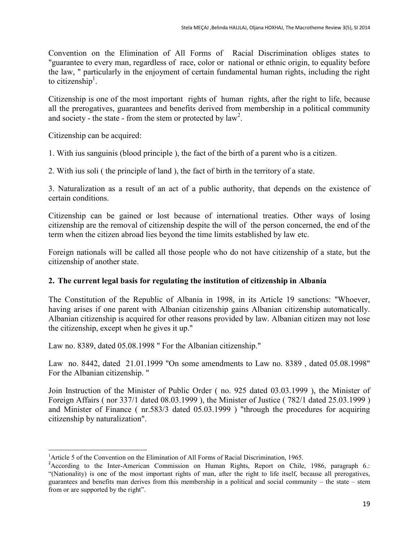Convention on the Elimination of All Forms of Racial Discrimination obliges states to "guarantee to every man, regardless of race, color or national or ethnic origin, to equality before the law, " particularly in the enjoyment of certain fundamental human rights, including the right to citizenship<sup>1</sup>.

Citizenship is one of the most important rights of human rights, after the right to life, because all the prerogatives, guarantees and benefits derived from membership in a political community and society - the state - from the stem or protected by  $law<sup>2</sup>$ .

Citizenship can be acquired:

1. With ius sanguinis (blood principle ), the fact of the birth of a parent who is a citizen.

2. With ius soli ( the principle of land ), the fact of birth in the territory of a state.

3. Naturalization as a result of an act of a public authority, that depends on the existence of certain conditions.

Citizenship can be gained or lost because of international treaties. Other ways of losing citizenship are the removal of citizenship despite the will of the person concerned, the end of the term when the citizen abroad lies beyond the time limits established by law etc.

Foreign nationals will be called all those people who do not have citizenship of a state, but the citizenship of another state.

# **2. The current legal basis for regulating the institution of citizenship in Albania**

The Constitution of the Republic of Albania in 1998, in its Article 19 sanctions: "Whoever, having arises if one parent with Albanian citizenship gains Albanian citizenship automatically. Albanian citizenship is acquired for other reasons provided by law. Albanian citizen may not lose the citizenship, except when he gives it up."

Law no. 8389, dated 05.08.1998 " For the Albanian citizenship."

Law no. 8442, dated 21.01.1999 "On some amendments to Law no. 8389 , dated 05.08.1998" For the Albanian citizenship. "

Join Instruction of the Minister of Public Order ( no. 925 dated 03.03.1999 ), the Minister of Foreign Affairs ( nor 337/1 dated 08.03.1999 ), the Minister of Justice ( 782/1 dated 25.03.1999 ) and Minister of Finance ( nr.583/3 dated 05.03.1999 ) "through the procedures for acquiring citizenship by naturalization".

 $\overline{a}$ <sup>1</sup> Article 5 of the Convention on the Elimination of All Forms of Racial Discrimination, 1965.

<sup>&</sup>lt;sup>2</sup> According to the Inter-American Commission on Human Rights, Report on Chile, 1986, paragraph 6.: "(Nationality) is one of the most important rights of man, after the right to life itself, because all prerogatives, guarantees and benefits man derives from this membership in a political and social community – the state – stem from or are supported by the right".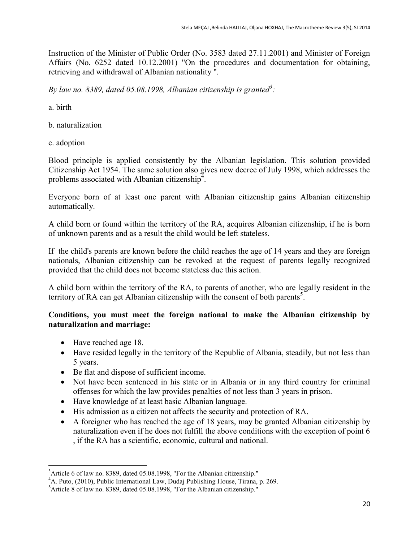Instruction of the Minister of Public Order (No. 3583 dated 27.11.2001) and Minister of Foreign Affairs (No. 6252 dated 10.12.2001) "On the procedures and documentation for obtaining, retrieving and withdrawal of Albanian nationality ".

*By law no. 8389, dated 05.08.1998, Albanian citizenship is granted<sup>3</sup> :* 

a. birth

b. naturalization

c. adoption

Blood principle is applied consistently by the Albanian legislation. This solution provided Citizenship Act 1954. The same solution also gives new decree of July 1998, which addresses the problems associated with Albanian citizenship<sup>4</sup>.

Everyone born of at least one parent with Albanian citizenship gains Albanian citizenship automatically.

A child born or found within the territory of the RA, acquires Albanian citizenship, if he is born of unknown parents and as a result the child would be left stateless.

If the child's parents are known before the child reaches the age of 14 years and they are foreign nationals, Albanian citizenship can be revoked at the request of parents legally recognized provided that the child does not become stateless due this action.

A child born within the territory of the RA, to parents of another, who are legally resident in the territory of RA can get Albanian citizenship with the consent of both parents<sup>5</sup>.

# **Conditions, you must meet the foreign national to make the Albanian citizenship by naturalization and marriage:**

- Have reached age 18.
- Have resided legally in the territory of the Republic of Albania, steadily, but not less than 5 years.
- Be flat and dispose of sufficient income.
- Not have been sentenced in his state or in Albania or in any third country for criminal offenses for which the law provides penalties of not less than 3 years in prison.
- Have knowledge of at least basic Albanian language.
- His admission as a citizen not affects the security and protection of RA.
- A foreigner who has reached the age of 18 years, may be granted Albanian citizenship by naturalization even if he does not fulfill the above conditions with the exception of point 6 , if the RA has a scientific, economic, cultural and national.

 $\overline{a}$  $3$ Article 6 of law no. 8389, dated 05.08.1998, "For the Albanian citizenship."

<sup>4</sup>A. Puto, (2010), Public International Law, Dudaj Publishing House, Tirana, p. 269.

<sup>&</sup>lt;sup>5</sup>Article 8 of law no. 8389, dated 05.08.1998, "For the Albanian citizenship."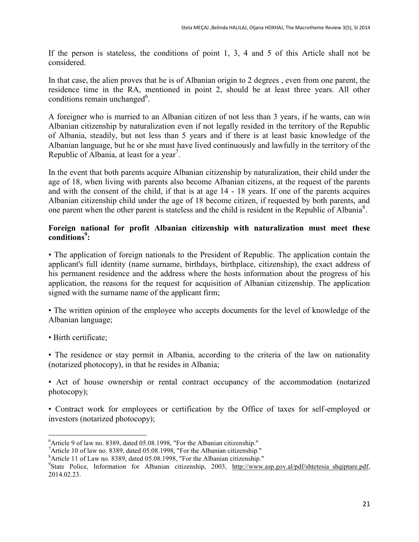If the person is stateless, the conditions of point 1, 3, 4 and 5 of this Article shall not be considered.

In that case, the alien proves that he is of Albanian origin to 2 degrees , even from one parent, the residence time in the RA, mentioned in point 2, should be at least three years. All other conditions remain unchanged<sup>6</sup>.

A foreigner who is married to an Albanian citizen of not less than 3 years, if he wants, can win Albanian citizenship by naturalization even if not legally resided in the territory of the Republic of Albania, steadily, but not less than 5 years and if there is at least basic knowledge of the Albanian language, but he or she must have lived continuously and lawfully in the territory of the Republic of Albania, at least for a year<sup>7</sup>.

In the event that both parents acquire Albanian citizenship by naturalization, their child under the age of 18, when living with parents also become Albanian citizens, at the request of the parents and with the consent of the child, if that is at age 14 - 18 years. If one of the parents acquires Albanian citizenship child under the age of 18 become citizen, if requested by both parents, and one parent when the other parent is stateless and the child is resident in the Republic of Albania<sup>8</sup>.

### **Foreign national for profit Albanian citizenship with naturalization must meet these conditions<sup>9</sup> :**

• The application of foreign nationals to the President of Republic. The application contain the applicant's full identity (name surname, birthdays, birthplace, citizenship), the exact address of his permanent residence and the address where the hosts information about the progress of his application, the reasons for the request for acquisition of Albanian citizenship. The application signed with the surname name of the applicant firm;

• The written opinion of the employee who accepts documents for the level of knowledge of the Albanian language;

• Birth certificate;

• The residence or stay permit in Albania, according to the criteria of the law on nationality (notarized photocopy), in that he resides in Albania;

• Act of house ownership or rental contract occupancy of the accommodation (notarized photocopy);

• Contract work for employees or certification by the Office of taxes for self-employed or investors (notarized photocopy);

 $\ddot{\phantom{a}}$  $6$ Article 9 of law no. 8389, dated 05.08.1998, "For the Albanian citizenship."

<sup>&</sup>lt;sup>7</sup>Article 10 of law no. 8389, dated 05.08.1998, "For the Albanian citizenship."

<sup>8</sup>Article 11 of Law no. 8389, dated 05.08.1998, "For the Albanian citizenship."

<sup>&</sup>lt;sup>9</sup>State Police, Information for Albanian citizenship, 2003, [http://www.asp.gov.al/pdf/shtetesia\\_shqiptare.pdf,](http://www.asp.gov.al/pdf/shtetesia_shqiptare.pdf) 2014.02.23.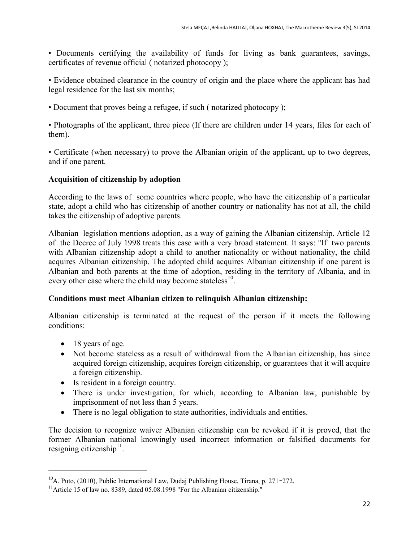• Documents certifying the availability of funds for living as bank guarantees, savings, certificates of revenue official ( notarized photocopy );

• Evidence obtained clearance in the country of origin and the place where the applicant has had legal residence for the last six months;

• Document that proves being a refugee, if such ( notarized photocopy );

• Photographs of the applicant, three piece (If there are children under 14 years, files for each of them).

• Certificate (when necessary) to prove the Albanian origin of the applicant, up to two degrees, and if one parent.

#### **Acquisition of citizenship by adoption**

According to the laws of some countries where people, who have the citizenship of a particular state, adopt a child who has citizenship of another country or nationality has not at all, the child takes the citizenship of adoptive parents.

Albanian legislation mentions adoption, as a way of gaining the Albanian citizenship. Article 12 of the Decree of July 1998 treats this case with a very broad statement. It says: "If two parents with Albanian citizenship adopt a child to another nationality or without nationality, the child acquires Albanian citizenship. The adopted child acquires Albanian citizenship if one parent is Albanian and both parents at the time of adoption, residing in the territory of Albania, and in every other case where the child may become stateless $^{10}$ .

#### **Conditions must meet Albanian citizen to relinquish Albanian citizenship:**

Albanian citizenship is terminated at the request of the person if it meets the following conditions:

• 18 years of age.

 $\overline{a}$ 

- Not become stateless as a result of withdrawal from the Albanian citizenship, has since acquired foreign citizenship, acquires foreign citizenship, or guarantees that it will acquire a foreign citizenship.
- Is resident in a foreign country.
- There is under investigation, for which, according to Albanian law, punishable by imprisonment of not less than 5 years.
- There is no legal obligation to state authorities, individuals and entities.

The decision to recognize waiver Albanian citizenship can be revoked if it is proved, that the former Albanian national knowingly used incorrect information or falsified documents for resigning citizenship $11$ .

 $10<sup>10</sup>$ A. Puto, (2010), Public International Law, Dudaj Publishing House, Tirana, p. 271–272.

<sup>&</sup>lt;sup>11</sup>Article 15 of law no. 8389, dated 05.08.1998 "For the Albanian citizenship."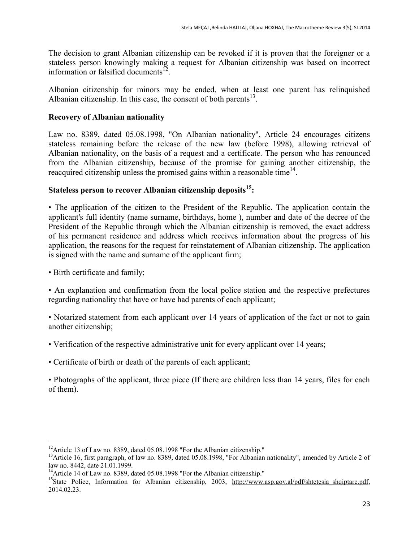The decision to grant Albanian citizenship can be revoked if it is proven that the foreigner or a stateless person knowingly making a request for Albanian citizenship was based on incorrect information or falsified documents $\overline{12}$ .

Albanian citizenship for minors may be ended, when at least one parent has relinquished Albanian citizenship. In this case, the consent of both parents $^{13}$ .

# **Recovery of Albanian nationality**

Law no. 8389, dated 05.08.1998, "On Albanian nationality", Article 24 encourages citizens stateless remaining before the release of the new law (before 1998), allowing retrieval of Albanian nationality, on the basis of a request and a certificate. The person who has renounced from the Albanian citizenship, because of the promise for gaining another citizenship, the reacquired citizenship unless the promised gains within a reasonable time<sup>14</sup>.

# **Stateless person to recover Albanian citizenship deposits<sup>15</sup>:**

• The application of the citizen to the President of the Republic. The application contain the applicant's full identity (name surname, birthdays, home ), number and date of the decree of the President of the Republic through which the Albanian citizenship is removed, the exact address of his permanent residence and address which receives information about the progress of his application, the reasons for the request for reinstatement of Albanian citizenship. The application is signed with the name and surname of the applicant firm;

• Birth certificate and family;

 $\overline{a}$ 

• An explanation and confirmation from the local police station and the respective prefectures regarding nationality that have or have had parents of each applicant;

• Notarized statement from each applicant over 14 years of application of the fact or not to gain another citizenship;

- Verification of the respective administrative unit for every applicant over 14 years;
- Certificate of birth or death of the parents of each applicant;

• Photographs of the applicant, three piece (If there are children less than 14 years, files for each of them).

<sup>&</sup>lt;sup>12</sup>Article 13 of Law no. 8389, dated 05.08.1998 "For the Albanian citizenship."

<sup>&</sup>lt;sup>13</sup>Article 16, first paragraph, of law no. 8389, dated 05.08.1998, "For Albanian nationality", amended by Article 2 of law no. 8442, date 21.01.1999.

<sup>&</sup>lt;sup>14</sup>Article 14 of Law no. 8389, dated 05.08.1998 "For the Albanian citizenship."

<sup>&</sup>lt;sup>15</sup>State Police, Information for Albanian citizenship, 2003, [http://www.asp.gov.al/pdf/shtetesia\\_shqiptare.pdf,](http://www.asp.gov.al/pdf/shtetesia_shqiptare.pdf) 2014.02.23.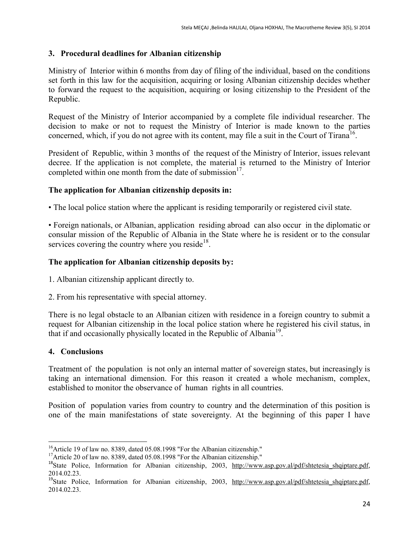# **3. Procedural deadlines for Albanian citizenship**

Ministry of Interior within 6 months from day of filing of the individual, based on the conditions set forth in this law for the acquisition, acquiring or losing Albanian citizenship decides whether to forward the request to the acquisition, acquiring or losing citizenship to the President of the Republic.

Request of the Ministry of Interior accompanied by a complete file individual researcher. The decision to make or not to request the Ministry of Interior is made known to the parties concerned, which, if you do not agree with its content, may file a suit in the Court of Tirana<sup>16</sup>.

President of Republic, within 3 months of the request of the Ministry of Interior, issues relevant decree. If the application is not complete, the material is returned to the Ministry of Interior completed within one month from the date of submission $17$ .

# **The application for Albanian citizenship deposits in:**

• The local police station where the applicant is residing temporarily or registered civil state.

• Foreign nationals, or Albanian, application residing abroad can also occur in the diplomatic or consular mission of the Republic of Albania in the State where he is resident or to the consular services covering the country where you reside $18$ .

# **The application for Albanian citizenship deposits by:**

1. Albanian citizenship applicant directly to.

2. From his representative with special attorney.

There is no legal obstacle to an Albanian citizen with residence in a foreign country to submit a request for Albanian citizenship in the local police station where he registered his civil status, in that if and occasionally physically located in the Republic of Albania<sup>19</sup>.

# **4. Conclusions**

Treatment of the population is not only an internal matter of sovereign states, but increasingly is taking an international dimension. For this reason it created a whole mechanism, complex, established to monitor the observance of human rights in all countries.

Position of population varies from country to country and the determination of this position is one of the main manifestations of state sovereignty. At the beginning of this paper I have

 $\overline{a}$ <sup>16</sup>Article 19 of law no. 8389, dated 05.08.1998 "For the Albanian citizenship."

<sup>&</sup>lt;sup>17</sup>Article 20 of law no. 8389, dated 05.08.1998 "For the Albanian citizenship."

<sup>&</sup>lt;sup>18</sup>State Police, Information for Albanian citizenship, 2003, [http://www.asp.gov.al/pdf/shtetesia\\_shqiptare.pdf,](http://www.asp.gov.al/pdf/shtetesia_shqiptare.pdf) 2014.02.23.

<sup>&</sup>lt;sup>19</sup>State Police, Information for Albanian citizenship, 2003, [http://www.asp.gov.al/pdf/shtetesia\\_shqiptare.pdf,](http://www.asp.gov.al/pdf/shtetesia_shqiptare.pdf) 2014.02.23.